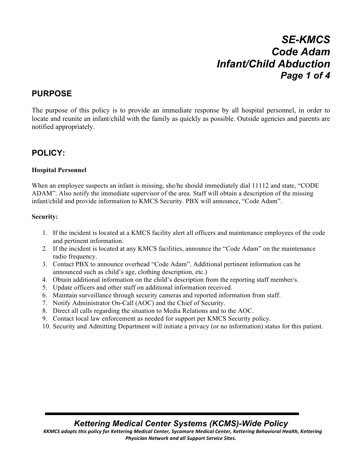# *SE-KMCS Code Adam Infant/Child Abduction Page 1 of 4*

### **PURPOSE**

The purpose of this policy is to provide an immediate response by all hospital personnel, in order to locate and reunite an infant/child with the family as quickly as possible. Outside agencies and parents are notified appropriately.

### **POLICY:**

#### **Hospital Personnel**

When an employee suspects an infant is missing, she/he should immediately dial 11112 and state, "CODE ADAM". Also notify the immediate supervisor of the area. Staff will obtain a description of the missing infant/child and provide information to KMCS Security. PBX will announce, "Code Adam".

#### **Security:**

- 1. If the incident is located at a KMCS facility alert all officers and maintenance employees of the code and pertinent information.
- 2. If the incident is located at any KMCS facilities, announce the "Code Adam" on the maintenance radio frequency.
- 3. Contact PBX to announce overhead "Code Adam". Additional pertinent information can be announced such as child's age, clothing description, etc.)
- 4. Obtain additional information on the child's description from the reporting staff member/s.
- 5. Update officers and other staff on additional information received.
- 6. Maintain surveillance through security cameras and reported information from staff.
- 7. Notify Administrator On-Call (AOC) and the Chief of Security.
- 8. Direct all calls regarding the situation to Media Relations and to the AOC.
- 9. Contact local law enforcement as needed for support per KMCS Security policy.
- 10. Security and Admitting Department will initiate a privacy (or no information) status for this patient.

*Kettering Medical Center Systems (KCMS)-Wide Policy*

KKMCS adopts this policy for Kettering Medical Center, Sycamore Medical Center, Kettering Behavioral Health, Kettering **Physician Network and all Support Service Sites.**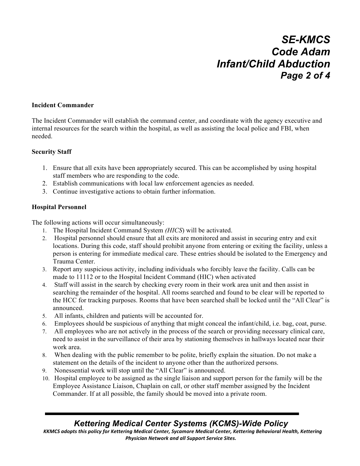# *SE-KMCS Code Adam Infant/Child Abduction Page 2 of 4*

#### **Incident Commander**

The Incident Commander will establish the command center, and coordinate with the agency executive and internal resources for the search within the hospital, as well as assisting the local police and FBI, when needed.

#### **Security Staff**

- 1. Ensure that all exits have been appropriately secured. This can be accomplished by using hospital staff members who are responding to the code.
- 2. Establish communications with local law enforcement agencies as needed.
- 3. Continue investigative actions to obtain further information.

#### **Hospital Personnel**

The following actions will occur simultaneously:

- 1. The Hospital Incident Command System *(HICS*) will be activated.
- 2. Hospital personnel should ensure that all exits are monitored and assist in securing entry and exit locations. During this code, staff should prohibit anyone from entering or exiting the facility, unless a person is entering for immediate medical care. These entries should be isolated to the Emergency and Trauma Center.
- 3. Report any suspicious activity, including individuals who forcibly leave the facility. Calls can be made to 11112 or to the Hospital Incident Command (HIC) when activated
- 4. Staff will assist in the search by checking every room in their work area unit and then assist in searching the remainder of the hospital. All rooms searched and found to be clear will be reported to the HCC for tracking purposes. Rooms that have been searched shall be locked until the "All Clear" is announced.
- 5. All infants, children and patients will be accounted for.
- 6. Employees should be suspicious of anything that might conceal the infant/child, i.e. bag, coat, purse.
- 7. All employees who are not actively in the process of the search or providing necessary clinical care, need to assist in the surveillance of their area by stationing themselves in hallways located near their work area.
- 8. When dealing with the public remember to be polite, briefly explain the situation. Do not make a statement on the details of the incident to anyone other than the authorized persons.
- 9. Nonessential work will stop until the "All Clear" is announced.
- 10. Hospital employee to be assigned as the single liaison and support person for the family will be the Employee Assistance Liaison, Chaplain on call, or other staff member assigned by the Incident Commander. If at all possible, the family should be moved into a private room.

## *Kettering Medical Center Systems (KCMS)-Wide Policy*

KKMCS adopts this policy for Kettering Medical Center, Sycamore Medical Center, Kettering Behavioral Health, Kettering **Physician Network and all Support Service Sites.**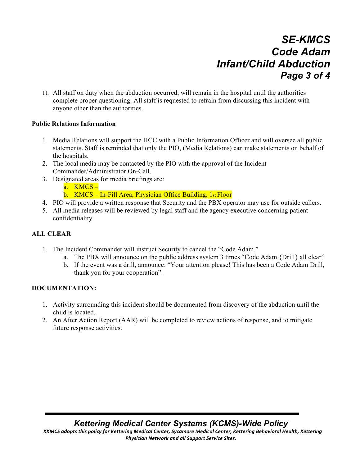# *SE-KMCS Code Adam Infant/Child Abduction Page 3 of 4*

11. All staff on duty when the abduction occurred, will remain in the hospital until the authorities complete proper questioning. All staff is requested to refrain from discussing this incident with anyone other than the authorities.

#### **Public Relations Information**

- 1. Media Relations will support the HCC with a Public Information Officer and will oversee all public statements. Staff is reminded that only the PIO, (Media Relations) can make statements on behalf of the hospitals.
- 2. The local media may be contacted by the PIO with the approval of the Incident Commander/Administrator On-Call.
- 3. Designated areas for media briefings are: a. KMCS – b. KMCS – In-Fill Area, Physician Office Building, 1st Floor
- 4. PIO will provide a written response that Security and the PBX operator may use for outside callers.
- 5. All media releases will be reviewed by legal staff and the agency executive concerning patient confidentiality.

### **ALL CLEAR**

- 1. The Incident Commander will instruct Security to cancel the "Code Adam."
	- a. The PBX will announce on the public address system 3 times "Code Adam {Drill} all clear"
		- b. If the event was a drill, announce: "Your attention please! This has been a Code Adam Drill, thank you for your cooperation".

### **DOCUMENTATION:**

- 1. Activity surrounding this incident should be documented from discovery of the abduction until the child is located.
- 2. An After Action Report (AAR) will be completed to review actions of response, and to mitigate future response activities.

*Kettering Medical Center Systems (KCMS)-Wide Policy*

KKMCS adopts this policy for Kettering Medical Center, Sycamore Medical Center, Kettering Behavioral Health, Kettering **Physician Network and all Support Service Sites.**